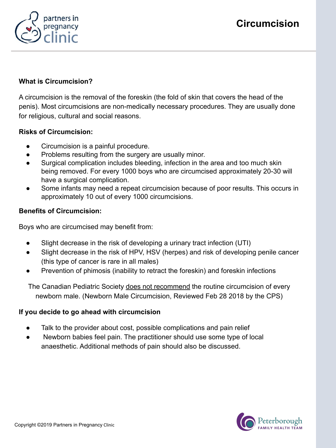



## **What is Circumcision?**

A circumcision is the removal of the foreskin (the fold of skin that covers the head of the penis). Most circumcisions are non-medically necessary procedures. They are usually done for religious, cultural and social reasons.

#### **Risks of Circumcision:**

- Circumcision is a painful procedure.
- Problems resulting from the surgery are usually minor.
- Surgical complication includes bleeding, infection in the area and too much skin being removed. For every 1000 boys who are circumcised approximately 20-30 will have a surgical complication.
- Some infants may need a repeat circumcision because of poor results. This occurs in approximately 10 out of every 1000 circumcisions.

### **Benefits of Circumcision:**

Boys who are circumcised may benefit from:

- Slight decrease in the risk of developing a urinary tract infection (UTI)
- Slight decrease in the risk of HPV, HSV (herpes) and risk of developing penile cancer (this type of cancer is rare in all males)
- Prevention of phimosis (inability to retract the foreskin) and foreskin infections

The Canadian Pediatric Society does not recommend the routine circumcision of every newborn male. (Newborn Male Circumcision, Reviewed Feb 28 2018 by the CPS)

#### **If you decide to go ahead with circumcision**

- Talk to the provider about cost, possible complications and pain relief
- Newborn babies feel pain. The practitioner should use some type of local anaesthetic. Additional methods of pain should also be discussed.